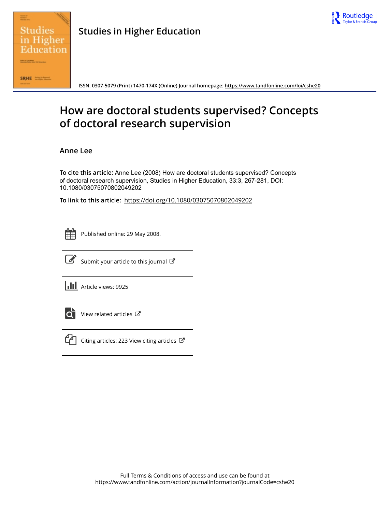



**Studies in Higher Education**

**ISSN: 0307-5079 (Print) 1470-174X (Online) Journal homepage: <https://www.tandfonline.com/loi/cshe20>**

# **How are doctoral students supervised? Concepts of doctoral research supervision**

# **Anne Lee**

**To cite this article:** Anne Lee (2008) How are doctoral students supervised? Concepts of doctoral research supervision, Studies in Higher Education, 33:3, 267-281, DOI: [10.1080/03075070802049202](https://www.tandfonline.com/action/showCitFormats?doi=10.1080/03075070802049202)

**To link to this article:** <https://doi.org/10.1080/03075070802049202>



Published online: 29 May 2008.



 $\overrightarrow{S}$  [Submit your article to this journal](https://www.tandfonline.com/action/authorSubmission?journalCode=cshe20&show=instructions)  $\overrightarrow{S}$ 

**III** Article views: 9925



 $\overline{\mathbf{C}}$  [View related articles](https://www.tandfonline.com/doi/mlt/10.1080/03075070802049202)  $\mathbf{C}$ 



 $\mathbb{C}$  [Citing articles: 223 View citing articles](https://www.tandfonline.com/doi/citedby/10.1080/03075070802049202#tabModule)  $\mathbb{C}$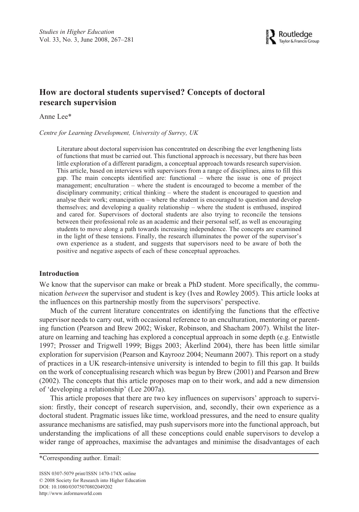# **How are doctoral students supervised? Concepts of doctoral research supervision**

Anne Lee\*

*Centre for Learning Development, University of Surrey, UK*

Literature about doctoral supervision has concentrated on describing the ever lengthening lists of functions that must be carried out. This functional approach is necessary, but there has been little exploration of a different paradigm, a conceptual approach towards research supervision. This article, based on interviews with supervisors from a range of disciplines, aims to fill this gap. The main concepts identified are: functional – where the issue is one of project management; enculturation – where the student is encouraged to become a member of the disciplinary community; critical thinking – where the student is encouraged to question and analyse their work; emancipation – where the student is encouraged to question and develop themselves; and developing a quality relationship – where the student is enthused, inspired and cared for. Supervisors of doctoral students are also trying to reconcile the tensions between their professional role as an academic and their personal self, as well as encouraging students to move along a path towards increasing independence. The concepts are examined in the light of these tensions. Finally, the research illuminates the power of the supervisor's own experience as a student, and suggests that supervisors need to be aware of both the positive and negative aspects of each of these conceptual approaches.

# **Introduction**

We know that the supervisor can make or break a PhD student. More specifically, the communication *between* the supervisor and student is key (Ives and Rowley 2005). This article looks at the influences on this partnership mostly from the supervisors' perspective.

Much of the current literature concentrates on identifying the functions that the effective supervisor needs to carry out, with occasional reference to an enculturation, mentoring or parenting function (Pearson and Brew 2002; Wisker, Robinson, and Shacham 2007). Whilst the literature on learning and teaching has explored a conceptual approach in some depth (e.g. Entwistle 1997; Prosser and Trigwell 1999; Biggs 2003; Åkerlind 2004), there has been little similar exploration for supervision (Pearson and Kayrooz 2004; Neumann 2007). This report on a study of practices in a UK research-intensive university is intended to begin to fill this gap. It builds on the work of conceptualising research which was begun by Brew (2001) and Pearson and Brew (2002). The concepts that this article proposes map on to their work, and add a new dimension of 'developing a relationship' (Lee 2007a).

This article proposes that there are two key influences on supervisors' approach to supervision: firstly, their concept of research supervision, and, secondly, their own experience as a doctoral student. Pragmatic issues like time, workload pressures, and the need to ensure quality assurance mechanisms are satisfied, may push supervisors more into the functional approach, but understanding the implications of all these conceptions could enable supervisors to develop a wider range of approaches, maximise the advantages and minimise the disadvantages of each

ISSN 0307-5079 print/ISSN 1470-174X online © 2008 Society for Research into Higher Education DOI: 10.1080/03075070802049202 http://www.informaworld.com

<sup>\*</sup>Corresponding author. Email: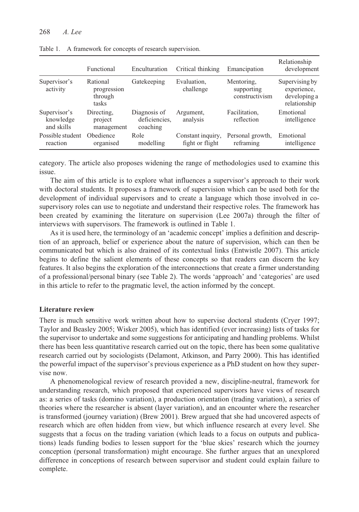|                                         | Functional                                  | Enculturation                             | Critical thinking                    | Emancipation                               | Relationship<br>development                                   |
|-----------------------------------------|---------------------------------------------|-------------------------------------------|--------------------------------------|--------------------------------------------|---------------------------------------------------------------|
| Supervisor's<br>activity                | Rational<br>progression<br>through<br>tasks | Gatekeeping                               | Evaluation,<br>challenge             | Mentoring,<br>supporting<br>constructivism | Supervising by<br>experience,<br>developing a<br>relationship |
| Supervisor's<br>knowledge<br>and skills | Directing.<br>project<br>management         | Diagnosis of<br>deficiencies,<br>coaching | Argument,<br>analysis                | Facilitation,<br>reflection                | Emotional<br>intelligence                                     |
| Possible student<br>reaction            | Obedience<br>organised                      | Role<br>modelling                         | Constant inquiry,<br>fight or flight | Personal growth,<br>reframing              | Emotional<br>intelligence                                     |

Table 1. A framework for concepts of research supervision.

category. The article also proposes widening the range of methodologies used to examine this issue.

The aim of this article is to explore what influences a supervisor's approach to their work with doctoral students. It proposes a framework of supervision which can be used both for the development of individual supervisors and to create a language which those involved in cosupervisory roles can use to negotiate and understand their respective roles. The framework has been created by examining the literature on supervision (Lee 2007a) through the filter of interviews with supervisors. The framework is outlined in Table 1.

As it is used here, the terminology of an 'academic concept' implies a definition and description of an approach, belief or experience about the nature of supervision, which can then be communicated but which is also drained of its contextual links (Entwistle 2007). This article begins to define the salient elements of these concepts so that readers can discern the key features. It also begins the exploration of the interconnections that create a firmer understanding of a professional/personal binary (see Table 2). The words 'approach' and 'categories' are used in this article to refer to the pragmatic level, the action informed by the concept.

#### **Literature review**

There is much sensitive work written about how to supervise doctoral students (Cryer 1997; Taylor and Beasley 2005; Wisker 2005), which has identified (ever increasing) lists of tasks for the supervisor to undertake and some suggestions for anticipating and handling problems. Whilst there has been less quantitative research carried out on the topic, there has been some qualitative research carried out by sociologists (Delamont, Atkinson, and Parry 2000). This has identified the powerful impact of the supervisor's previous experience as a PhD student on how they supervise now.

A phenomenological review of research provided a new, discipline-neutral, framework for understanding research, which proposed that experienced supervisors have views of research as: a series of tasks (domino variation), a production orientation (trading variation), a series of theories where the researcher is absent (layer variation), and an encounter where the researcher is transformed (journey variation) (Brew 2001). Brew argued that she had uncovered aspects of research which are often hidden from view, but which influence research at every level. She suggests that a focus on the trading variation (which leads to a focus on outputs and publications) leads funding bodies to lessen support for the 'blue skies' research which the journey conception (personal transformation) might encourage. She further argues that an unexplored difference in conceptions of research between supervisor and student could explain failure to complete.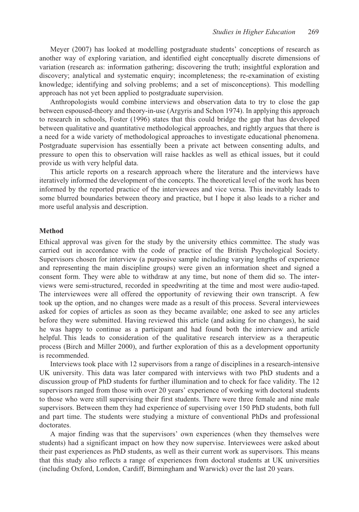Meyer (2007) has looked at modelling postgraduate students' conceptions of research as another way of exploring variation, and identified eight conceptually discrete dimensions of variation (research as: information gathering; discovering the truth; insightful exploration and discovery; analytical and systematic enquiry; incompleteness; the re-examination of existing knowledge; identifying and solving problems; and a set of misconceptions). This modelling approach has not yet been applied to postgraduate supervision.

Anthropologists would combine interviews and observation data to try to close the gap between espoused-theory and theory-in-use (Argyris and Schon 1974). In applying this approach to research in schools, Foster (1996) states that this could bridge the gap that has developed between qualitative and quantitative methodological approaches, and rightly argues that there is a need for a wide variety of methodological approaches to investigate educational phenomena. Postgraduate supervision has essentially been a private act between consenting adults, and pressure to open this to observation will raise hackles as well as ethical issues, but it could provide us with very helpful data.

This article reports on a research approach where the literature and the interviews have iteratively informed the development of the concepts. The theoretical level of the work has been informed by the reported practice of the interviewees and vice versa. This inevitably leads to some blurred boundaries between theory and practice, but I hope it also leads to a richer and more useful analysis and description.

## **Method**

Ethical approval was given for the study by the university ethics committee. The study was carried out in accordance with the code of practice of the British Psychological Society. Supervisors chosen for interview (a purposive sample including varying lengths of experience and representing the main discipline groups) were given an information sheet and signed a consent form. They were able to withdraw at any time, but none of them did so. The interviews were semi-structured, recorded in speedwriting at the time and most were audio-taped. The interviewees were all offered the opportunity of reviewing their own transcript. A few took up the option, and no changes were made as a result of this process. Several interviewees asked for copies of articles as soon as they became available; one asked to see any articles before they were submitted. Having reviewed this article (and asking for no changes), he said he was happy to continue as a participant and had found both the interview and article helpful. This leads to consideration of the qualitative research interview as a therapeutic process (Birch and Miller 2000), and further exploration of this as a development opportunity is recommended.

Interviews took place with 12 supervisors from a range of disciplines in a research-intensive UK university. This data was later compared with interviews with two PhD students and a discussion group of PhD students for further illumination and to check for face validity. The 12 supervisors ranged from those with over 20 years' experience of working with doctoral students to those who were still supervising their first students. There were three female and nine male supervisors. Between them they had experience of supervising over 150 PhD students, both full and part time. The students were studying a mixture of conventional PhDs and professional doctorates.

A major finding was that the supervisors' own experiences (when they themselves were students) had a significant impact on how they now supervise. Interviewees were asked about their past experiences as PhD students, as well as their current work as supervisors. This means that this study also reflects a range of experiences from doctoral students at UK universities (including Oxford, London, Cardiff, Birmingham and Warwick) over the last 20 years.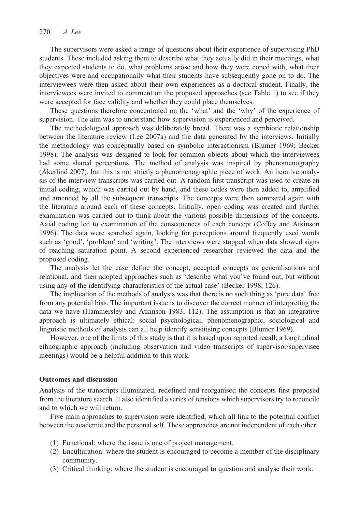The supervisors were asked a range of questions about their experience of supervising PhD students. These included asking them to describe what they actually did in their meetings, what they expected students to do, what problems arose and how they were coped with, what their objectives were and occupationally what their students have subsequently gone on to do. The interviewees were then asked about their own experiences as a doctoral student. Finally, the interviewees were invited to comment on the proposed approaches (see Table 1) to see if they were accepted for face validity and whether they could place themselves.

These questions therefore concentrated on the 'what' and the 'why' of the experience of supervision. The aim was to understand how supervision is experienced and perceived.

The methodological approach was deliberately broad. There was a symbiotic relationship between the literature review (Lee 2007a) and the data generated by the interviews. Initially the methodology was conceptually based on symbolic interactionism (Blumer 1969; Becker 1998). The analysis was designed to look for common objects about which the interviewees had some shared perceptions. The method of analysis was inspired by phenomenography (Åkerlind 2007), but this is not strictly a phenomenographic piece of work. An iterative analysis of the interview transcripts was carried out. A random first transcript was used to create an initial coding, which was carried out by hand, and these codes were then added to, amplified and amended by all the subsequent transcripts. The concepts were then compared again with the literature around each of these concepts. Initially, open coding was created and further examination was carried out to think about the various possible dimensions of the concepts. Axial coding led to examination of the consequences of each concept (Coffey and Atkinson 1996). The data were searched again, looking for perceptions around frequently used words such as 'good', 'problem' and 'writing'. The interviews were stopped when data showed signs of reaching saturation point. A second experienced researcher reviewed the data and the proposed coding.

The analysis let the case define the concept, accepted concepts as generalisations and relational, and then adopted approaches such as 'describe what you've found out, but without using any of the identifying characteristics of the actual case' (Becker 1998, 126).

The implication of the methods of analysis was that there is no such thing as 'pure data' free from any potential bias. The important issue is to discover the correct manner of interpreting the data we have (Hammersley and Atkinson 1983, 112). The assumption is that an integrative approach is ultimately ethical: social psychological, phenomenographic, sociological and linguistic methods of analysis can all help identify sensitising concepts (Blumer 1969).

However, one of the limits of this study is that it is based upon reported recall; a longitudinal ethnographic approach (including observation and video transcripts of supervisor/supervisee meetings) would be a helpful addition to this work.

#### **Outcomes and discussion**

Analysis of the transcripts illuminated, redefined and reorganised the concepts first proposed from the literature search. It also identified a series of tensions which supervisors try to reconcile and to which we will return.

Five main approaches to supervision were identified, which all link to the potential conflict between the academic and the personal self. These approaches are not independent of each other.

- (1) Functional: where the issue is one of project management.
- (2) Enculturation: where the student is encouraged to become a member of the disciplinary community.
- (3) Critical thinking: where the student is encouraged to question and analyse their work.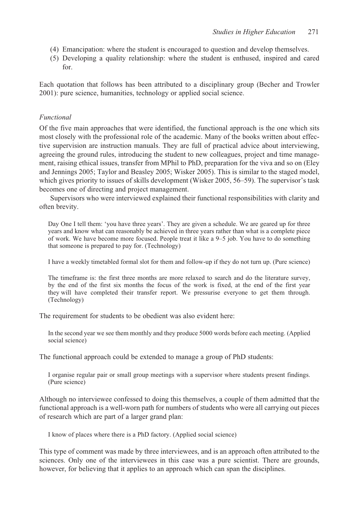- (4) Emancipation: where the student is encouraged to question and develop themselves.
- (5) Developing a quality relationship: where the student is enthused, inspired and cared for.

Each quotation that follows has been attributed to a disciplinary group (Becher and Trowler 2001): pure science, humanities, technology or applied social science.

# *Functional*

Of the five main approaches that were identified, the functional approach is the one which sits most closely with the professional role of the academic. Many of the books written about effective supervision are instruction manuals. They are full of practical advice about interviewing, agreeing the ground rules, introducing the student to new colleagues, project and time management, raising ethical issues, transfer from MPhil to PhD, preparation for the viva and so on (Eley and Jennings 2005; Taylor and Beasley 2005; Wisker 2005). This is similar to the staged model, which gives priority to issues of skills development (Wisker 2005, 56–59). The supervisor's task becomes one of directing and project management.

Supervisors who were interviewed explained their functional responsibilities with clarity and often brevity.

Day One I tell them: 'you have three years'. They are given a schedule. We are geared up for three years and know what can reasonably be achieved in three years rather than what is a complete piece of work. We have become more focused. People treat it like a 9–5 job. You have to do something that someone is prepared to pay for. (Technology)

I have a weekly timetabled formal slot for them and follow-up if they do not turn up. (Pure science)

The timeframe is: the first three months are more relaxed to search and do the literature survey, by the end of the first six months the focus of the work is fixed, at the end of the first year they will have completed their transfer report. We pressurise everyone to get them through. (Technology)

The requirement for students to be obedient was also evident here:

In the second year we see them monthly and they produce 5000 words before each meeting. (Applied social science)

The functional approach could be extended to manage a group of PhD students:

I organise regular pair or small group meetings with a supervisor where students present findings. (Pure science)

Although no interviewee confessed to doing this themselves, a couple of them admitted that the functional approach is a well-worn path for numbers of students who were all carrying out pieces of research which are part of a larger grand plan:

I know of places where there is a PhD factory. (Applied social science)

This type of comment was made by three interviewees, and is an approach often attributed to the sciences. Only one of the interviewees in this case was a pure scientist. There are grounds, however, for believing that it applies to an approach which can span the disciplines.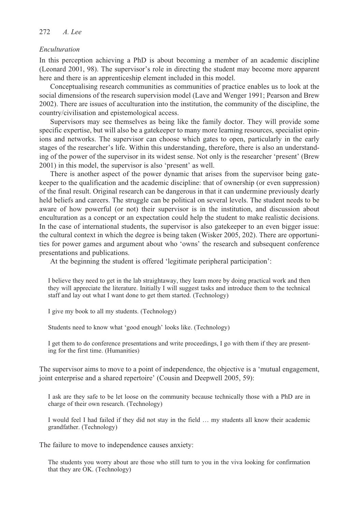## *Enculturation*

In this perception achieving a PhD is about becoming a member of an academic discipline (Leonard 2001, 98). The supervisor's role in directing the student may become more apparent here and there is an apprenticeship element included in this model.

Conceptualising research communities as communities of practice enables us to look at the social dimensions of the research supervision model (Lave and Wenger 1991; Pearson and Brew 2002). There are issues of acculturation into the institution, the community of the discipline, the country/civilisation and epistemological access.

Supervisors may see themselves as being like the family doctor. They will provide some specific expertise, but will also be a gatekeeper to many more learning resources, specialist opinions and networks. The supervisor can choose which gates to open, particularly in the early stages of the researcher's life. Within this understanding, therefore, there is also an understanding of the power of the supervisor in its widest sense. Not only is the researcher 'present' (Brew 2001) in this model, the supervisor is also 'present' as well.

There is another aspect of the power dynamic that arises from the supervisor being gatekeeper to the qualification and the academic discipline: that of ownership (or even suppression) of the final result. Original research can be dangerous in that it can undermine previously dearly held beliefs and careers. The struggle can be political on several levels. The student needs to be aware of how powerful (or not) their supervisor is in the institution, and discussion about enculturation as a concept or an expectation could help the student to make realistic decisions. In the case of international students, the supervisor is also gatekeeper to an even bigger issue: the cultural context in which the degree is being taken (Wisker 2005, 202). There are opportunities for power games and argument about who 'owns' the research and subsequent conference presentations and publications.

At the beginning the student is offered 'legitimate peripheral participation':

I believe they need to get in the lab straightaway, they learn more by doing practical work and then they will appreciate the literature. Initially I will suggest tasks and introduce them to the technical staff and lay out what I want done to get them started. (Technology)

I give my book to all my students. (Technology)

Students need to know what 'good enough' looks like. (Technology)

I get them to do conference presentations and write proceedings, I go with them if they are presenting for the first time. (Humanities)

The supervisor aims to move to a point of independence, the objective is a 'mutual engagement, joint enterprise and a shared repertoire' (Cousin and Deepwell 2005, 59):

I ask are they safe to be let loose on the community because technically those with a PhD are in charge of their own research. (Technology)

I would feel I had failed if they did not stay in the field … my students all know their academic grandfather. (Technology)

The failure to move to independence causes anxiety:

The students you worry about are those who still turn to you in the viva looking for confirmation that they are OK. (Technology)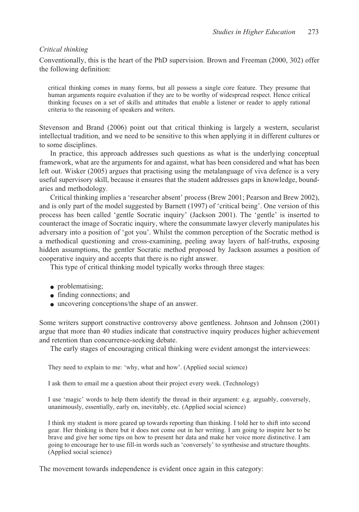# *Critical thinking*

Conventionally, this is the heart of the PhD supervision. Brown and Freeman (2000, 302) offer the following definition:

critical thinking comes in many forms, but all possess a single core feature. They presume that human arguments require evaluation if they are to be worthy of widespread respect. Hence critical thinking focuses on a set of skills and attitudes that enable a listener or reader to apply rational criteria to the reasoning of speakers and writers.

Stevenson and Brand (2006) point out that critical thinking is largely a western, secularist intellectual tradition, and we need to be sensitive to this when applying it in different cultures or to some disciplines.

In practice, this approach addresses such questions as what is the underlying conceptual framework, what are the arguments for and against, what has been considered and what has been left out. Wisker (2005) argues that practising using the metalanguage of viva defence is a very useful supervisory skill, because it ensures that the student addresses gaps in knowledge, boundaries and methodology.

Critical thinking implies a 'researcher absent' process (Brew 2001; Pearson and Brew 2002), and is only part of the model suggested by Barnett (1997) of 'critical being'. One version of this process has been called 'gentle Socratic inquiry' (Jackson 2001). The 'gentle' is inserted to counteract the image of Socratic inquiry, where the consummate lawyer cleverly manipulates his adversary into a position of 'got you'. Whilst the common perception of the Socratic method is a methodical questioning and cross-examining, peeling away layers of half-truths, exposing hidden assumptions, the gentler Socratic method proposed by Jackson assumes a position of cooperative inquiry and accepts that there is no right answer.

This type of critical thinking model typically works through three stages:

- problematising;
- finding connections; and
- uncovering conceptions/the shape of an answer.

Some writers support constructive controversy above gentleness. Johnson and Johnson (2001) argue that more than 40 studies indicate that constructive inquiry produces higher achievement and retention than concurrence-seeking debate.

The early stages of encouraging critical thinking were evident amongst the interviewees:

They need to explain to me: 'why, what and how'. (Applied social science)

I ask them to email me a question about their project every week. (Technology)

I use 'magic' words to help them identify the thread in their argument: e.g. arguably, conversely, unanimously, essentially, early on, inevitably, etc. (Applied social science)

I think my student is more geared up towards reporting than thinking. I told her to shift into second gear. Her thinking is there but it does not come out in her writing. I am going to inspire her to be brave and give her some tips on how to present her data and make her voice more distinctive. I am going to encourage her to use fill-in words such as 'conversely' to synthesise and structure thoughts. (Applied social science)

The movement towards independence is evident once again in this category: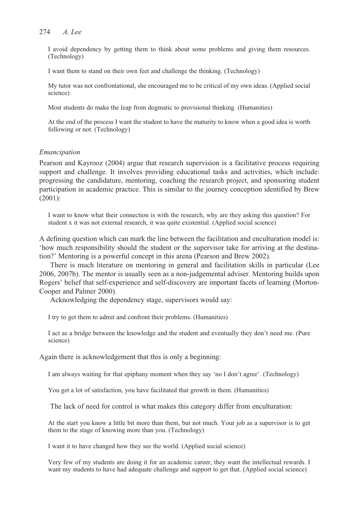I avoid dependency by getting them to think about some problems and giving them resources. (Technology)

I want them to stand on their own feet and challenge the thinking. (Technology)

My tutor was not confrontational, she encouraged me to be critical of my own ideas. (Applied social science)

Most students do make the leap from dogmatic to provisional thinking. (Humanities)

At the end of the process I want the student to have the maturity to know when a good idea is worth following or not. (Technology)

## *Emancipation*

Pearson and Kayrooz (2004) argue that research supervision is a facilitative process requiring support and challenge. It involves providing educational tasks and activities, which include: progressing the candidature, mentoring, coaching the research project, and sponsoring student participation in academic practice. This is similar to the journey conception identified by Brew (2001):

I want to know what their connection is with the research, why are they asking this question? For student x it was not external research, it was quite existential. (Applied social science)

A defining question which can mark the line between the facilitation and enculturation model is: 'how much responsibility should the student or the supervisor take for arriving at the destination?' Mentoring is a powerful concept in this arena (Pearson and Brew 2002).

There is much literature on mentoring in general and facilitation skills in particular (Lee 2006, 2007b). The mentor is usually seen as a non-judgemental adviser. Mentoring builds upon Rogers' belief that self-experience and self-discovery are important facets of learning (Morton-Cooper and Palmer 2000).

Acknowledging the dependency stage, supervisors would say:

I try to get them to admit and confront their problems. (Humanities)

I act as a bridge between the knowledge and the student and eventually they don't need me. (Pure science)

Again there is acknowledgement that this is only a beginning:

I am always waiting for that epiphany moment when they say 'no I don't agree'. (Technology)

You get a lot of satisfaction, you have facilitated that growth in them. (Humanities)

The lack of need for control is what makes this category differ from enculturation:

At the start you know a little bit more than them, but not much. Your job as a supervisor is to get them to the stage of knowing more than you. (Technology)

I want it to have changed how they see the world. (Applied social science)

Very few of my students are doing it for an academic career, they want the intellectual rewards. I want my students to have had adequate challenge and support to get that. (Applied social science)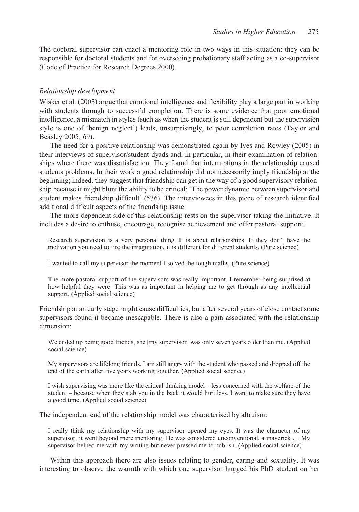The doctoral supervisor can enact a mentoring role in two ways in this situation: they can be responsible for doctoral students and for overseeing probationary staff acting as a co-supervisor (Code of Practice for Research Degrees 2000).

# *Relationship development*

Wisker et al. (2003) argue that emotional intelligence and flexibility play a large part in working with students through to successful completion. There is some evidence that poor emotional intelligence, a mismatch in styles (such as when the student is still dependent but the supervision style is one of 'benign neglect') leads, unsurprisingly, to poor completion rates (Taylor and Beasley 2005, 69).

The need for a positive relationship was demonstrated again by Ives and Rowley (2005) in their interviews of supervisor/student dyads and, in particular, in their examination of relationships where there was dissatisfaction. They found that interruptions in the relationship caused students problems. In their work a good relationship did not necessarily imply friendship at the beginning; indeed, they suggest that friendship can get in the way of a good supervisory relationship because it might blunt the ability to be critical: 'The power dynamic between supervisor and student makes friendship difficult' (536). The interviewees in this piece of research identified additional difficult aspects of the friendship issue.

The more dependent side of this relationship rests on the supervisor taking the initiative. It includes a desire to enthuse, encourage, recognise achievement and offer pastoral support:

Research supervision is a very personal thing. It is about relationships. If they don't have the motivation you need to fire the imagination, it is different for different students. (Pure science)

I wanted to call my supervisor the moment I solved the tough maths. (Pure science)

The more pastoral support of the supervisors was really important. I remember being surprised at how helpful they were. This was as important in helping me to get through as any intellectual support. (Applied social science)

Friendship at an early stage might cause difficulties, but after several years of close contact some supervisors found it became inescapable. There is also a pain associated with the relationship dimension:

We ended up being good friends, she [my supervisor] was only seven years older than me. (Applied social science)

My supervisors are lifelong friends. I am still angry with the student who passed and dropped off the end of the earth after five years working together. (Applied social science)

I wish supervising was more like the critical thinking model – less concerned with the welfare of the student – because when they stab you in the back it would hurt less. I want to make sure they have a good time. (Applied social science)

The independent end of the relationship model was characterised by altruism:

I really think my relationship with my supervisor opened my eyes. It was the character of my supervisor, it went beyond mere mentoring. He was considered unconventional, a maverick … My supervisor helped me with my writing but never pressed me to publish. (Applied social science)

Within this approach there are also issues relating to gender, caring and sexuality. It was interesting to observe the warmth with which one supervisor hugged his PhD student on her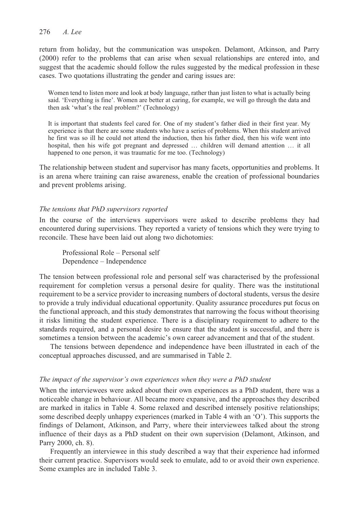return from holiday, but the communication was unspoken. Delamont, Atkinson, and Parry (2000) refer to the problems that can arise when sexual relationships are entered into, and suggest that the academic should follow the rules suggested by the medical profession in these cases. Two quotations illustrating the gender and caring issues are:

Women tend to listen more and look at body language, rather than just listen to what is actually being said. 'Everything is fine'. Women are better at caring, for example, we will go through the data and then ask 'what's the real problem?' (Technology)

It is important that students feel cared for. One of my student's father died in their first year. My experience is that there are some students who have a series of problems. When this student arrived he first was so ill he could not attend the induction, then his father died, then his wife went into hospital, then his wife got pregnant and depressed … children will demand attention … it all happened to one person, it was traumatic for me too. (Technology)

The relationship between student and supervisor has many facets, opportunities and problems. It is an arena where training can raise awareness, enable the creation of professional boundaries and prevent problems arising.

# *The tensions that PhD supervisors reported*

In the course of the interviews supervisors were asked to describe problems they had encountered during supervisions. They reported a variety of tensions which they were trying to reconcile. These have been laid out along two dichotomies:

Professional Role – Personal self Dependence – Independence

The tension between professional role and personal self was characterised by the professional requirement for completion versus a personal desire for quality. There was the institutional requirement to be a service provider to increasing numbers of doctoral students, versus the desire to provide a truly individual educational opportunity. Quality assurance procedures put focus on the functional approach, and this study demonstrates that narrowing the focus without theorising it risks limiting the student experience. There is a disciplinary requirement to adhere to the standards required, and a personal desire to ensure that the student is successful, and there is sometimes a tension between the academic's own career advancement and that of the student.

The tensions between dependence and independence have been illustrated in each of the conceptual approaches discussed, and are summarised in Table 2.

## *The impact of the supervisor's own experiences when they were a PhD student*

When the interviewees were asked about their own experiences as a PhD student, there was a noticeable change in behaviour. All became more expansive, and the approaches they described are marked in italics in Table 4. Some relaxed and described intensely positive relationships; some described deeply unhappy experiences (marked in Table 4 with an 'O'). This supports the findings of Delamont, Atkinson, and Parry, where their interviewees talked about the strong influence of their days as a PhD student on their own supervision (Delamont, Atkinson, and Parry 2000, ch. 8).

Frequently an interviewee in this study described a way that their experience had informed their current practice. Supervisors would seek to emulate, add to or avoid their own experience. Some examples are in included Table 3.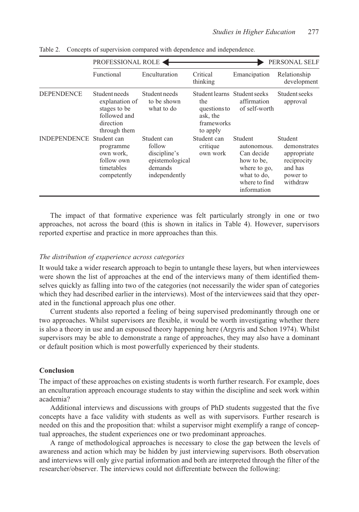|                                 | PROFESSIONAL ROLE .<br>PERSONAL SELF                                                         |                                                                                      |                                                                                           |                                                                                                                   |                                                                                          |
|---------------------------------|----------------------------------------------------------------------------------------------|--------------------------------------------------------------------------------------|-------------------------------------------------------------------------------------------|-------------------------------------------------------------------------------------------------------------------|------------------------------------------------------------------------------------------|
|                                 | Functional                                                                                   | Enculturation                                                                        | Critical<br>thinking                                                                      | Emancipation                                                                                                      | Relationship<br>development                                                              |
| <b>DEPENDENCE</b>               | Student needs<br>explanation of<br>stages to be<br>followed and<br>direction<br>through them | Student needs<br>to be shown<br>what to do                                           | Student learns Student seeks<br>the<br>questions to<br>ask, the<br>frameworks<br>to apply | affirmation<br>of self-worth                                                                                      | Student seeks<br>approval                                                                |
| <b>INDEPENDENCE</b> Student can | programme<br>own work,<br>follow own<br>timetables<br>competently                            | Student can<br>follow<br>discipline's<br>epistemological<br>demands<br>independently | Student can<br>critique<br>own work                                                       | Student<br>autonomous.<br>Can decide<br>how to be,<br>where to go,<br>what to do.<br>where to find<br>information | Student<br>demonstrates<br>appropriate<br>reciprocity<br>and has<br>power to<br>withdraw |

Table 2. Concepts of supervision compared with dependence and independence.

The impact of that formative experience was felt particularly strongly in one or two approaches, not across the board (this is shown in italics in Table 4). However, supervisors reported expertise and practice in more approaches than this.

## *The distribution of exµperience across categories*

It would take a wider research approach to begin to untangle these layers, but when interviewees were shown the list of approaches at the end of the interviews many of them identified themselves quickly as falling into two of the categories (not necessarily the wider span of categories which they had described earlier in the interviews). Most of the interviewees said that they operated in the functional approach plus one other.

Current students also reported a feeling of being supervised predominantly through one or two approaches. Whilst supervisors are flexible, it would be worth investigating whether there is also a theory in use and an espoused theory happening here (Argyris and Schon 1974). Whilst supervisors may be able to demonstrate a range of approaches, they may also have a dominant or default position which is most powerfully experienced by their students.

## **Conclusion**

The impact of these approaches on existing students is worth further research. For example, does an enculturation approach encourage students to stay within the discipline and seek work within academia?

Additional interviews and discussions with groups of PhD students suggested that the five concepts have a face validity with students as well as with supervisors. Further research is needed on this and the proposition that: whilst a supervisor might exemplify a range of conceptual approaches, the student experiences one or two predominant approaches.

A range of methodological approaches is necessary to close the gap between the levels of awareness and action which may be hidden by just interviewing supervisors. Both observation and interviews will only give partial information and both are interpreted through the filter of the researcher/observer. The interviews could not differentiate between the following: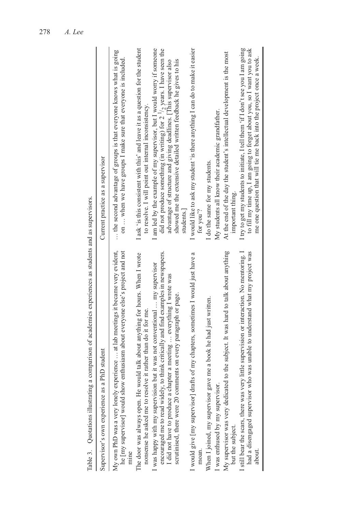| student<br>Supervisor's own experience as a PhD                                                                                                                                                                                                                                                                 | Current practice as a supervisor                                                                                                                                                                                                                                                                           |
|-----------------------------------------------------------------------------------------------------------------------------------------------------------------------------------------------------------------------------------------------------------------------------------------------------------------|------------------------------------------------------------------------------------------------------------------------------------------------------------------------------------------------------------------------------------------------------------------------------------------------------------|
| My own PhD was a very lonely experience  at lab meetings it became very evident,<br>he [my supervisor] would show enthusiasm about everyone else's project and not<br>mine                                                                                                                                      | the second advantage of groups is that everyone knows what is going<br>on  when we have groups I make sure that everyone is included.                                                                                                                                                                      |
| talk about anything for hours. When I wrote<br>nonsense he asked me to resolve it rather than do it for me.<br>The door was always open. He would                                                                                                                                                               | I ask 'is this consistent with this' and leave it as a question for the student<br>to resolve. I will point out internal inconsistency.                                                                                                                                                                    |
| encouraged me to read widely, to think critically and find examples in newspapers.<br>I was happy with my supervision but it was not conventional  my supervisor<br>I did not have to produce a chapter a meeting  everything I wrote was<br>on every paragraph or page.<br>scrutinised, there were 20 comments | I am led by the example of my supervisor, but I would worry if someone<br>did not produce something (in writing) for $21/2$ years. I have seen the<br>showed me the extensive detailed written feedback he gives to his<br>advantage of structure and giving deadlines. [This supervisor also<br>students. |
| my chapters, sometimes I would just have a<br>I would give [my supervisor] drafts of<br>moan.                                                                                                                                                                                                                   | I would like to ask my student 'is there anything I can do to make it easier<br>tor you'?                                                                                                                                                                                                                  |
| a book he had just written.<br>When I joined, my supervisor gave me<br>I was enthused by my supervisor.                                                                                                                                                                                                         | My students all know their academic grandfather.<br>I do the same for my students.                                                                                                                                                                                                                         |
| My supervisor was very dedicated to the subject. It was hard to talk about anything<br>but the subject.                                                                                                                                                                                                         | At the end of the day the student's intellectual development is the most<br>important thing.                                                                                                                                                                                                               |
| I still bear the scars, there was very little supervision or interaction. No mentoring. I<br>had a disengaged supervisor who was unable to understand what my project was<br>about.                                                                                                                             | I try to get my students to initiate, I tell them 'if I don't see you I am going<br>to fill my time up, I am going to forget about you, so I want you to ask<br>me one question that will tie me back into the project once a week.                                                                        |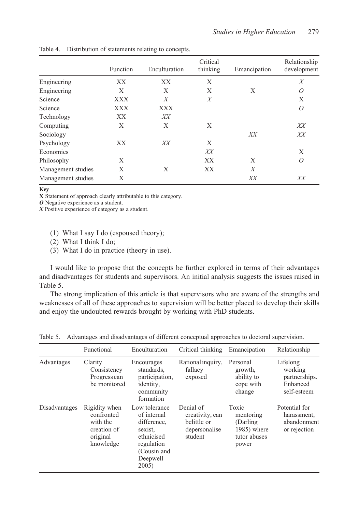|                    | Function   | Enculturation    | Critical<br>thinking | Emancipation     | Relationship<br>development |
|--------------------|------------|------------------|----------------------|------------------|-----------------------------|
| Engineering        | XX         | XX               | X                    |                  | X                           |
| Engineering        | X          | X                | X                    | X                | 0                           |
| Science            | <b>XXX</b> | $\boldsymbol{X}$ | $\boldsymbol{X}$     |                  | X                           |
| Science            | XXX        | XXX              |                      |                  | 0                           |
| Technology         | XX         | XX               |                      |                  |                             |
| Computing          | X          | X                | X                    |                  | XX                          |
| Sociology          |            |                  |                      | XX               | XX                          |
| Psychology         | XX         | XX               | X                    |                  |                             |
| Economics          |            |                  | XX                   |                  | X                           |
| Philosophy         | X          |                  | XX                   | X                | 0                           |
| Management studies | X          | X                | XX                   | $\boldsymbol{X}$ |                             |
| Management studies | Χ          |                  |                      | XX               | XX                          |

Table 4. Distribution of statements relating to concepts.

**Key**

**X** Statement of approach clearly attributable to this category.

*O* Negative experience as a student.

*X* Positive experience of category as a student.

- (1) What I say I do (espoused theory);
- (2) What I think I do;
- (3) What I do in practice (theory in use).

I would like to propose that the concepts be further explored in terms of their advantages and disadvantages for students and supervisors. An initial analysis suggests the issues raised in Table 5.

The strong implication of this article is that supervisors who are aware of the strengths and weaknesses of all of these approaches to supervision will be better placed to develop their skills and enjoy the undoubted rewards brought by working with PhD students.

|               | Functional                                                                      | Enculturation                                                                                                          | Critical thinking                                                       | Emancipation                                                               | Relationship                                                    |
|---------------|---------------------------------------------------------------------------------|------------------------------------------------------------------------------------------------------------------------|-------------------------------------------------------------------------|----------------------------------------------------------------------------|-----------------------------------------------------------------|
| Advantages    | Clarity<br>Consistency<br>Progress can<br>be monitored                          | Encourages<br>standards,<br>participation,<br>identity.<br>community<br>formation                                      | Rational inquiry,<br>fallacy<br>exposed                                 | Personal<br>growth.<br>ability to<br>cope with<br>change                   | Lifelong<br>working<br>partnerships.<br>Enhanced<br>self-esteem |
| Disadvantages | Rigidity when<br>confronted<br>with the<br>creation of<br>original<br>knowledge | Low tolerance<br>of internal<br>difference,<br>sexist,<br>ethnicised<br>regulation<br>(Cousin and<br>Deepwell<br>2005) | Denial of<br>creativity, can<br>belittle or<br>depersonalise<br>student | Toxic<br>mentoring<br>(Darling)<br>$1985$ ) where<br>tutor abuses<br>power | Potential for<br>harassment,<br>abandonment<br>or rejection     |

Table 5. Advantages and disadvantages of different conceptual approaches to doctoral supervision.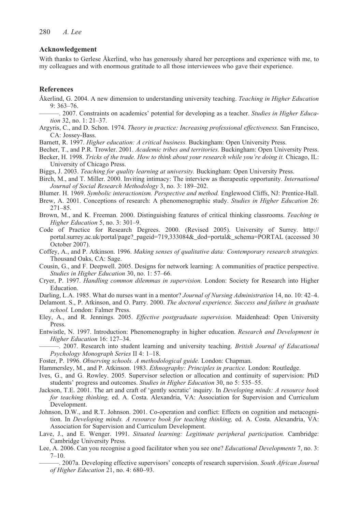## **Acknowledgement**

With thanks to Gerlese Åkerlind, who has generously shared her perceptions and experience with me, to my colleagues and with enormous gratitude to all those interviewees who gave their experience.

# **References**

Åkerlind, G. 2004. A new dimension to understanding university teaching. *Teaching in Higher Education* 9: 363–76.

- ———. 2007. Constraints on academics' potential for developing as a teacher. *Studies in Higher Education* 32, no. 1: 21–37.
- Argyris, C., and D. Schon. 1974. *Theory in practice: Increasing professional effectiveness.* San Francisco, CA: Jossey-Bass.
- Barnett, R. 1997. *Higher education: A critical business.* Buckingham: Open University Press.
- Becher, T., and P.R. Trowler. 2001. *Academic tribes and territories.* Buckingham: Open University Press.
- Becker, H. 1998. *Tricks of the trade. How to think about your research while you're doing it.* Chicago, IL: University of Chicago Press.
- Biggs, J. 2003. *Teaching for quality learning at university.* Buckingham: Open University Press.
- Birch, M., and T. Miller. 2000. Inviting intimacy: The interview as therapeutic opportunity. *International Journal of Social Research Methodology* 3, no. 3: 189–202.
- Blumer. H. 1969. *Symbolic interactionism. Perspective and method.* Englewood Cliffs, NJ: Prentice-Hall.
- Brew, A. 2001. Conceptions of research: A phenomenographic study. *Studies in Higher Education* 26: 271–85.
- Brown, M., and K. Freeman. 2000. Distinguishing features of critical thinking classrooms. *Teaching in Higher Education* 5, no. 3: 301–9.
- Code of Practice for Research Degrees. 2000. (Revised 2005). University of Surrey. http:// portal.surrey.ac.uk/portal/page?\_pageid=719,333084&\_dod=portal&\_schema=PORTAL (accessed 30 October 2007).
- Coffey, A., and P. Atkinson. 1996. *Making senses of qualitative data: Contemporary research strategies.* Thousand Oaks, CA: Sage.
- Cousin, G., and F. Deepwell. 2005. Designs for network learning: A communities of practice perspective. *Studies in Higher Education* 30, no. 1: 57–66.
- Cryer, P. 1997. *Handling common dilemmas in supervision.* London: Society for Research into Higher Education.

Darling, L.A. 1985. What do nurses want in a mentor? *Journal of Nursing Administration* 14, no. 10: 42–4.

Delamont. S., P. Atkinson, and O. Parry. 2000. *The doctoral experience. Success and failure in graduate school.* London: Falmer Press.

Eley, A., and R. Jennings. 2005. *Effective postgraduate supervision.* Maidenhead: Open University Press.

Entwistle, N. 1997. Introduction: Phenomenography in higher education. *Research and Development in Higher Education* 16: 127–34.

———. 2007. Research into student learning and university teaching. *British Journal of Educational Psychology Monograph Series* II 4: 1–18.

Foster, P. 1996. *Observing schools. A methodological guide.* London: Chapman.

Hammersley, M., and P. Atkinson. 1983. *Ethnography: Principles in practice.* London: Routledge.

Ives, G., and G. Rowley. 2005. Supervisor selection or allocation and continuity of supervision: PhD students' progress and outcomes. *Studies in Higher Education* 30, no 5: 535–55.

- Jackson, T.E. 2001. The art and craft of 'gently socratic' inquiry. In *Developing minds: A resource book for teaching thinking,* ed. A. Costa. Alexandria, VA: Association for Supervision and Curriculum Development.
- Johnson, D.W., and R.T. Johnson. 2001. Co-operation and conflict: Effects on cognition and metacognition. In *Developing minds. A resource book for teaching thinking,* ed. A. Costa. Alexandria, VA: Association for Supervision and Curriculum Development.
- Lave, J., and E. Wenger. 1991. *Situated learning: Legitimate peripheral participation.* Cambridge: Cambridge University Press.
- Lee, A. 2006. Can you recognise a good facilitator when you see one? *Educational Developments* 7, no. 3: 7–10.

———. 2007a. Developing effective supervisors' concepts of research supervision. *South African Journal of Higher Education* 21, no. 4: 680–93.